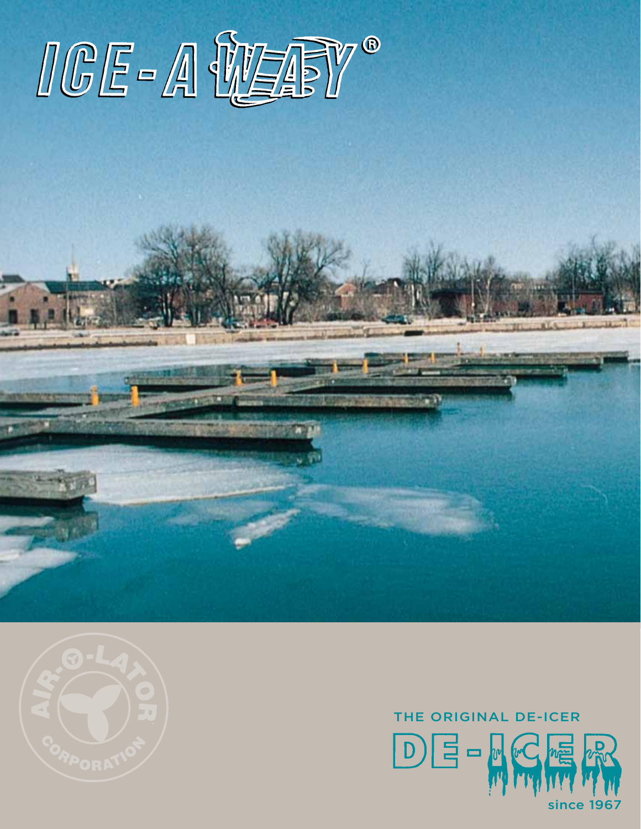



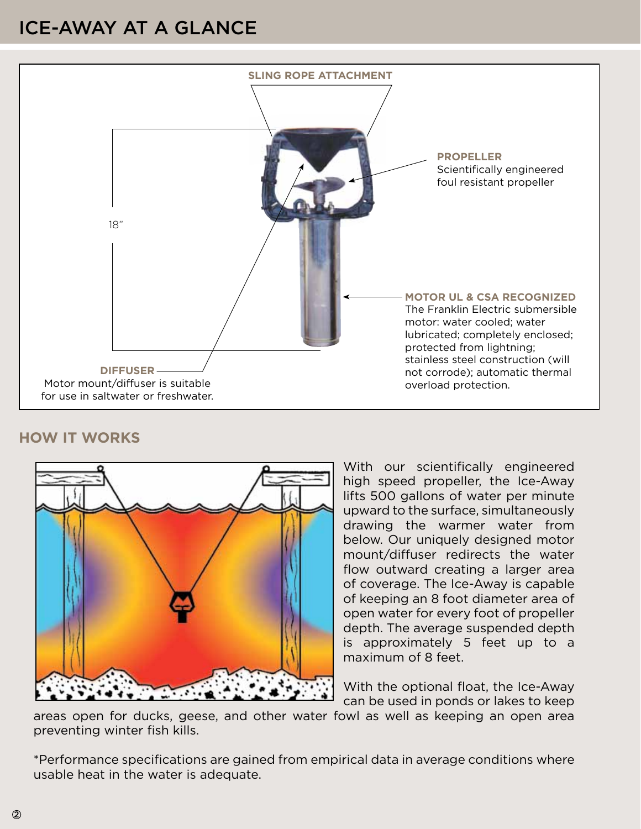## ICE-AWAY AT A GLANCE



#### **HOW IT WORKS**



With our scientifically engineered high speed propeller, the Ice-Away lifts 500 gallons of water per minute upward to the surface, simultaneously drawing the warmer water from below. Our uniquely designed motor mount/diffuser redirects the water flow outward creating a larger area of coverage. The Ice-Away is capable of keeping an 8 foot diameter area of open water for every foot of propeller depth. The average suspended depth is approximately 5 feet up to a maximum of 8 feet.

With the optional float, the Ice-Away can be used in ponds or lakes to keep

areas open for ducks, geese, and other water fowl as well as keeping an open area preventing winter fish kills.

\*Performance specifications are gained from empirical data in average conditions where usable heat in the water is adequate.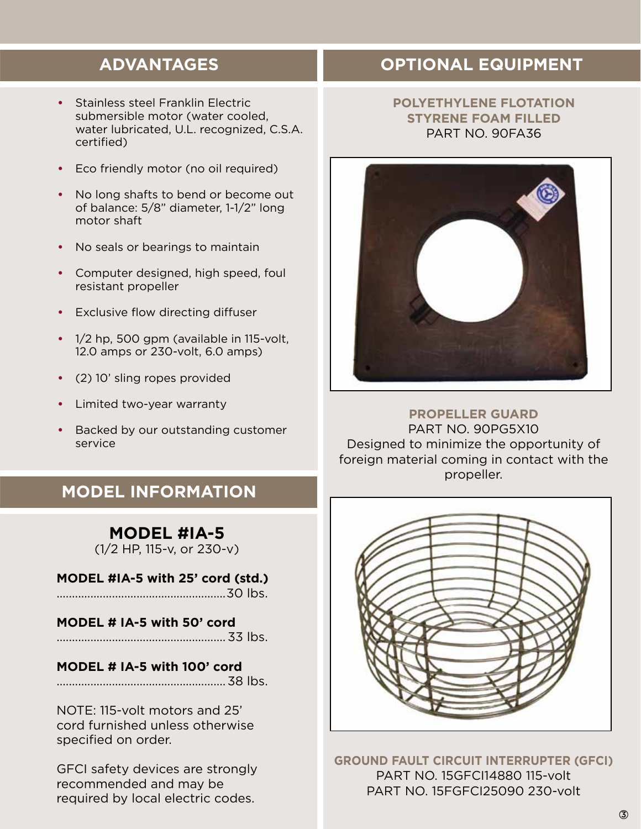## **ADVANTAGES**

- **•** Stainless steel Franklin Electric submersible motor (water cooled, water lubricated, U.L. recognized, C.S.A. certified)
- **•** Eco friendly motor (no oil required)
- **•** No long shafts to bend or become out of balance: 5/8" diameter, 1-1/2" long motor shaft
- **•** No seals or bearings to maintain
- **•** Computer designed, high speed, foul resistant propeller
- **•** Exclusive flow directing diffuser
- **•** 1/2 hp, 500 gpm (available in 115-volt, 12.0 amps or 230-volt, 6.0 amps)
- **•** (2) 10' sling ropes provided
- **•** Limited two-year warranty
- **•** Backed by our outstanding customer service

## **MODEL INFORMATION**

### **MODEL #IA-5**

(1/2 HP, 115-v, or 230-v)

**MODEL #IA-5 with 25' cord (std.)** .......................................................30 lbs.

- 
- **MODEL # IA-5 with 50' cord** ....................................................... 33 lbs.

#### **MODEL # IA-5 with 100' cord**

.......................................................38 lbs.

NOTE: 115-volt motors and 25' cord furnished unless otherwise specified on order.

GFCI safety devices are strongly recommended and may be required by local electric codes.

## **OPTIONAL EQUIPMENT**

#### **POLYETHYLENE FLOTATION STYRENE FOAM FILLED** PART NO. 90FA36



**PROPELLER GUARD**  PART NO. 90PG5X10 Designed to minimize the opportunity of foreign material coming in contact with the propeller.



**GROUND FAULT CIRCUIT INTERRUPTER (GFCI)** PART NO. 15GFCI14880 115-volt PART NO. 15FGFCI25090 230-volt